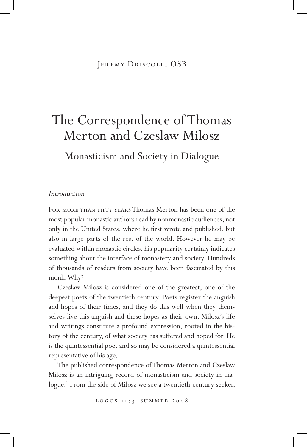# Jeremy Driscoll, OSB

# The Correspondence of Thomas Merton and Czeslaw Milosz

Monasticism and Society in Dialogue

## *Introduction*

For more than fifty years Thomas Merton has been one of the most popular monastic authors read by nonmonastic audiences, not only in the United States, where he first wrote and published, but also in large parts of the rest of the world. However he may be evaluated within monastic circles, his popularity certainly indicates something about the interface of monastery and society. Hundreds of thousands of readers from society have been fascinated by this monk. Why?

Czeslaw Milosz is considered one of the greatest, one of the deepest poets of the twentieth century. Poets register the anguish and hopes of their times, and they do this well when they themselves live this anguish and these hopes as their own. Milosz's life and writings constitute a profound expression, rooted in the history of the century, of what society has suffered and hoped for. He is the quintessential poet and so may be considered a quintessential representative of his age.

The published correspondence of Thomas Merton and Czeslaw Milosz is an intriguing record of monasticism and society in dialogue.1 From the side of Milosz we see a twentieth-century seeker,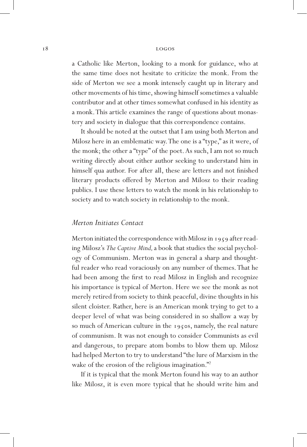a Catholic like Merton, looking to a monk for guidance, who at the same time does not hesitate to criticize the monk. From the side of Merton we see a monk intensely caught up in literary and other movements of his time, showing himself sometimes a valuable contributor and at other times somewhat confused in his identity as a monk. This article examines the range of questions about monastery and society in dialogue that this correspondence contains.

It should be noted at the outset that I am using both Merton and Milosz here in an emblematic way. The one is a "type," as it were, of the monk; the other a "type" of the poet. As such, I am not so much writing directly about either author seeking to understand him in himself qua author. For after all, these are letters and not finished literary products offered by Merton and Milosz to their reading publics. I use these letters to watch the monk in his relationship to society and to watch society in relationship to the monk.

#### *Merton Initiates Contact*

Merton initiated the correspondence with Milosz in 1959 after reading Milosz's *The Captive Mind,* a book that studies the social psychology of Communism. Merton was in general a sharp and thoughtful reader who read voraciously on any number of themes. That he had been among the first to read Milosz in English and recognize his importance is typical of Merton. Here we see the monk as not merely retired from society to think peaceful, divine thoughts in his silent cloister. Rather, here is an American monk trying to get to a deeper level of what was being considered in so shallow a way by so much of American culture in the 1950s, namely, the real nature of communism. It was not enough to consider Communists as evil and dangerous, to prepare atom bombs to blow them up. Milosz had helped Merton to try to understand "the lure of Marxism in the wake of the erosion of the religious imagination."<sup>2</sup>

If it is typical that the monk Merton found his way to an author like Milosz, it is even more typical that he should write him and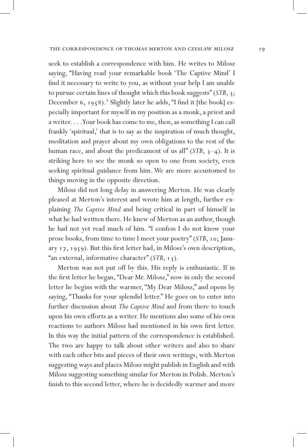seek to establish a correspondence with him. He writes to Milosz saying, "Having read your remarkable book 'The Captive Mind' I find it necessary to write to you, as without your help I am unable to pursue certain lines of thought which this book suggests" (*STB*, 3; December 6, 1958).<sup>3</sup> Slightly later he adds, "I find it [the book] especially important for myself in my position as a monk, a priest and a writer. . . . Your book has come to me, then, as something I can call frankly 'spiritual,' that is to say as the inspiration of much thought, meditation and prayer about my own obligations to the rest of the human race, and about the predicament of us all"  $(STB, 3-4)$ . It is striking here to see the monk so open to one from society, even seeking spiritual guidance from him. We are more accustomed to things moving in the opposite direction.

Milosz did not long delay in answering Merton. He was clearly pleased at Merton's interest and wrote him at length, further explaining *The Captive Mind* and being critical in part of himself in what he had written there. He knew of Merton as an author, though he had not yet read much of him. "I confess I do not know your prose books, from time to time I meet your poetry" (*STB*, 10; January 17, 1959). But this first letter had, in Milosz's own description, "an external, informative character" (*STB*, 13).

Merton was not put off by this. His reply is enthusiastic. If in the first letter he began, "Dear Mr. Milosz," now in only the second letter he begins with the warmer, "My Dear Milosz," and opens by saying, "Thanks for your splendid letter." He goes on to enter into further discussion about *The Captive Mind* and from there to touch upon his own efforts as a writer. He mentions also some of his own reactions to authors Milosz had mentioned in his own first letter. In this way the initial pattern of the correspondence is established. The two are happy to talk about other writers and also to share with each other bits and pieces of their own writings, with Merton suggesting ways and places Milosz might publish in English and with Milosz suggesting something similar for Merton in Polish. Merton's finish to this second letter, where he is decidedly warmer and more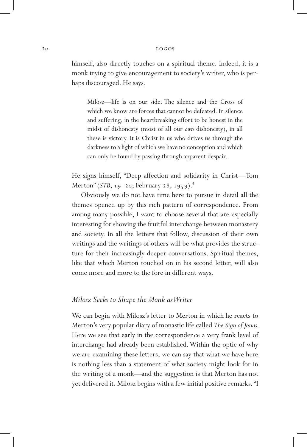himself, also directly touches on a spiritual theme. Indeed, it is a monk trying to give encouragement to society's writer, who is perhaps discouraged. He says,

Milosz—life is on our side. The silence and the Cross of which we know are forces that cannot be defeated. In silence and suffering, in the heartbreaking effort to be honest in the midst of dishonesty (most of all our *own* dishonesty), in all these is victory. It is Christ in us who drives us through the darkness to a light of which we have no conception and which can only be found by passing through apparent despair.

He signs himself, "Deep affection and solidarity in Christ—Tom Merton" (*STB*, 19-20; February 28, 1959).<sup>4</sup>

Obviously we do not have time here to pursue in detail all the themes opened up by this rich pattern of correspondence. From among many possible, I want to choose several that are especially interesting for showing the fruitful interchange between monastery and society. In all the letters that follow, discussion of their own writings and the writings of others will be what provides the structure for their increasingly deeper conversations. Spiritual themes, like that which Merton touched on in his second letter, will also come more and more to the fore in different ways.

#### *Milosz Seeks to Shape the Monk as Writer*

We can begin with Milosz's letter to Merton in which he reacts to Merton's very popular diary of monastic life called *The Sign of Jonas.*  Here we see that early in the correspondence a very frank level of interchange had already been established. Within the optic of why we are examining these letters, we can say that what we have here is nothing less than a statement of what society might look for in the writing of a monk—and the suggestion is that Merton has not yet delivered it. Milosz begins with a few initial positive remarks. "I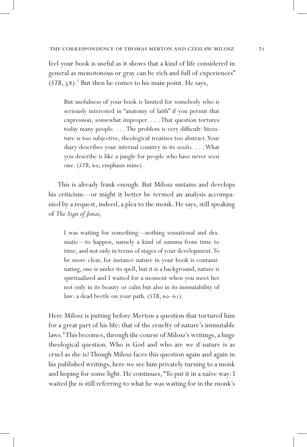feel your book is useful as it shows that a kind of life considered in general as monotonous or gray can be rich and full of experiences" (*STB*, 58).<sup>5</sup> But then he comes to his main point. He says,

But usefulness of your book is limited for somebody who is seriously interested in "anatomy of faith" if you permit that expression, somewhat improper. . . . That question tortures today many people. . . . The problem is very difficult: literature is too subjective, theological treatises too abstract. Your diary describes your internal country in its *results.* . . . What you describe is like a jungle for people who have never seen one. (*STB*, 60; emphasis mine)

This is already frank enough. But Milosz sustains and develops his criticism—or might it better be termed an analysis accompanied by a request, indeed, a plea to the monk. He says, still speaking of *The Sign of Jonas,* 

I was waiting for something—nothing sensational and dramatic—to happen, namely a kind of summa from time to time, and not only in terms of stages of your development. To be more clear, for instance nature in your book is contaminating, one is under its spell, but it is a background, nature is spiritualized and I waited for a moment when you meet her not only in its beauty or calm but also in its immutability of law: a dead beetle on your path. (*STB*, 60–61).

Here Milosz is putting before Merton a question that tortured him for a great part of his life: that of the cruelty of nature's immutable laws.<sup>6</sup>This becomes, through the course of Milosz's writings, a huge theological question. Who is God and who are we if nature is as cruel as she is? Though Milosz faces this question again and again in his published writings, here we see him privately turning to a monk and hoping for some light. He continues, "To put it in a naïve way: I waited [he is still referring to what he was waiting for in the monk's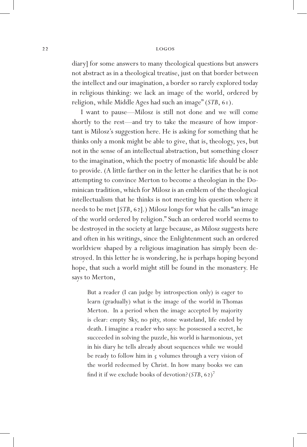diary] for some answers to many theological questions but answers not abstract as in a theological treatise, just on that border between the intellect and our imagination, a border so rarely explored today in religious thinking: we lack an image of the world, ordered by religion, while Middle Ages had such an image" (*STB*, 61).

I want to pause—Milosz is still not done and we will come shortly to the rest—and try to take the measure of how important is Milosz's suggestion here. He is asking for something that he thinks only a monk might be able to give, that is, theology, yes, but not in the sense of an intellectual abstraction, but something closer to the imagination, which the poetry of monastic life should be able to provide. (A little farther on in the letter he clarifies that he is not attempting to convince Merton to become a theologian in the Dominican tradition, which for Milosz is an emblem of the theological intellectualism that he thinks is not meeting his question where it needs to be met [*STB*, 62].) Milosz longs for what he calls "an image of the world ordered by religion." Such an ordered world seems to be destroyed in the society at large because, as Milosz suggests here and often in his writings, since the Enlightenment such an ordered worldview shaped by a religious imagination has simply been destroyed. In this letter he is wondering, he is perhaps hoping beyond hope, that such a world might still be found in the monastery. He says to Merton,

But a reader (I can judge by introspection only) is eager to learn (gradually) what is the image of the world in Thomas Merton. In a period when the image accepted by majority is clear: empty Sky, no pity, stone wasteland, life ended by death. I imagine a reader who says: he possessed a secret, he succeeded in solving the puzzle, his world is harmonious, yet in his diary he tells already about sequences while we would be ready to follow him in  $\zeta$  volumes through a very vision of the world redeemed by Christ. In how many books we can find it if we exclude books of devotion?(*STB*, 62) 7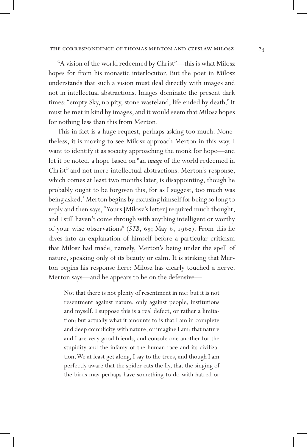"A vision of the world redeemed by Christ"—this is what Milosz hopes for from his monastic interlocutor. But the poet in Milosz understands that such a vision must deal directly with images and not in intellectual abstractions. Images dominate the present dark times: "empty Sky, no pity, stone wasteland, life ended by death." It must be met in kind by images, and it would seem that Milosz hopes for nothing less than this from Merton.

This in fact is a huge request, perhaps asking too much. Nonetheless, it is moving to see Milosz approach Merton in this way. I want to identify it as society approaching the monk for hope—and let it be noted, a hope based on "an *image* of the world redeemed in Christ" and not mere intellectual abstractions. Merton's response, which comes at least two months later, is disappointing, though he probably ought to be forgiven this, for as I suggest, too much was being asked.<sup>8</sup> Merton begins by excusing himself for being so long to reply and then says, "Yours [Milosz's letter] required much thought, and I still haven't come through with anything intelligent or worthy of your wise observations" (*STB*, 69; May 6, 1960). From this he dives into an explanation of himself before a particular criticism that Milosz had made, namely, Merton's being under the spell of nature, speaking only of its beauty or calm. It is striking that Merton begins his response here; Milosz has clearly touched a nerve. Merton says—and he appears to be on the defensive—

Not that there is not plenty of resentment in me: but it is not resentment against nature, only against people, institutions and myself. I suppose this is a real defect, or rather a limitation: but actually what it amounts to is that I am in complete and deep complicity with nature, or imagine I am: that nature and I are very good friends, and console one another for the stupidity and the infamy of the human race and its civilization. We at least get along, I say to the trees, and though I am perfectly aware that the spider eats the fly, that the singing of the birds may perhaps have something to do with hatred or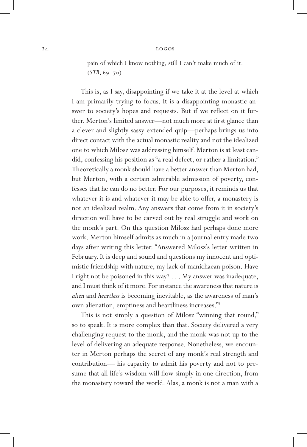pain of which I know nothing, still I can't make much of it. (*STB*, 69–70)

This is, as I say, disappointing if we take it at the level at which I am primarily trying to focus. It is a disappointing monastic answer to society's hopes and requests. But if we reflect on it further, Merton's limited answer—not much more at first glance than a clever and slightly sassy extended quip—perhaps brings us into direct contact with the actual monastic reality and not the idealized one to which Milosz was addressing himself. Merton is at least candid, confessing his position as "a real defect, or rather a limitation." Theoretically a monk should have a better answer than Merton had, but Merton, with a certain admirable admission of poverty, confesses that he can do no better. For our purposes, it reminds us that whatever it is and whatever it may be able to offer, a monastery is not an idealized realm. Any answers that come from it in society's direction will have to be carved out by real struggle and work on the monk's part. On this question Milosz had perhaps done more work. Merton himself admits as much in a journal entry made two days after writing this letter. "Answered Milosz's letter written in February. It is deep and sound and questions my innocent and optimistic friendship with nature, my lack of manichaean poison. Have I right not be poisoned in this way? . . . My answer was inadequate, and I must think of it more. For instance the awareness that nature is *alien* and *heartless* is becoming inevitable, as the awareness of man's own alienation, emptiness and heartliness increases."9

This is not simply a question of Milosz "winning that round," so to speak. It is more complex than that. Society delivered a very challenging request to the monk, and the monk was not up to the level of delivering an adequate response. Nonetheless, we encounter in Merton perhaps the secret of any monk's real strength and contribution— his capacity to admit his poverty and not to presume that all life's wisdom will flow simply in one direction, from the monastery toward the world. Alas, a monk is not a man with a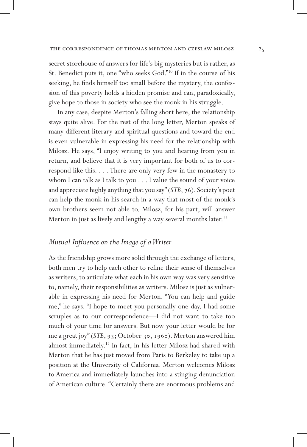secret storehouse of answers for life's big mysteries but is rather, as St. Benedict puts it, one "who seeks God."10 If in the course of his seeking, he finds himself too small before the mystery, the confession of this poverty holds a hidden promise and can, paradoxically, give hope to those in society who see the monk in his struggle.

In any case, despite Merton's falling short here, the relationship stays quite alive. For the rest of the long letter, Merton speaks of many different literary and spiritual questions and toward the end is even vulnerable in expressing his need for the relationship with Milosz. He says, "I enjoy writing to you and hearing from you in return, and believe that it is very important for both of us to correspond like this. . . . There are only very few in the monastery to whom I can talk as I talk to you . . . I value the sound of your voice and appreciate highly anything that you say" (*STB*, 76). Society's poet can help the monk in his search in a way that most of the monk's own brothers seem not able to. Milosz, for his part, will answer Merton in just as lively and lengthy a way several months later.<sup>11</sup>

#### *Mutual Influence on the Image of a Writer*

As the friendship grows more solid through the exchange of letters, both men try to help each other to refine their sense of themselves as writers, to articulate what each in his own way was very sensitive to, namely, their responsibilities as writers. Milosz is just as vulnerable in expressing his need for Merton. "You can help and guide me," he says. "I hope to meet you personally one day. I had some scruples as to our correspondence—I did not want to take too much of your time for answers. But now your letter would be for me a great joy" (*STB*, 93; October 30, 1960). Merton answered him almost immediately.<sup>12</sup> In fact, in his letter Milosz had shared with Merton that he has just moved from Paris to Berkeley to take up a position at the University of California. Merton welcomes Milosz to America and immediately launches into a stinging denunciation of American culture. "Certainly there are enormous problems and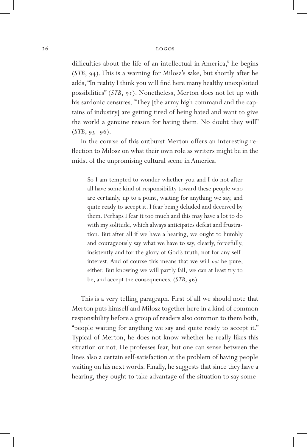difficulties about the life of an intellectual in America," he begins (*STB*, 94). This is a warning for Milosz's sake, but shortly after he adds, "In reality I think you will find here many healthy unexploited possibilities" (*STB*, 95). Nonetheless, Merton does not let up with his sardonic censures. "They [the army high command and the captains of industry] are getting tired of being hated and want to give the world a genuine reason for hating them. No doubt they will"  $(STB, 95-96)$ .

In the course of this outburst Merton offers an interesting reflection to Milosz on what their own role as writers might be in the midst of the unpromising cultural scene in America.

So I am tempted to wonder whether you and I do not after all have some kind of responsibility toward these people who are certainly, up to a point, waiting for anything we say, and quite ready to accept it. I fear being deluded and deceived by them. Perhaps I fear it too much and this may have a lot to do with my solitude, which always anticipates defeat and frustration. But after all if we have a hearing, we ought to humbly and courageously say what we have to say, clearly, forcefully, insistently and for the glory of God's truth, not for any selfinterest. And of course this means that we will *not* be pure, either. But knowing we will partly fail, we can at least try to be, and accept the consequences. (*STB*, 96)

This is a very telling paragraph. First of all we should note that Merton puts himself and Milosz together here in a kind of common responsibility before a group of readers also common to them both, "people waiting for anything we say and quite ready to accept it." Typical of Merton, he does not know whether he really likes this situation or not. He professes fear, but one can sense between the lines also a certain self-satisfaction at the problem of having people waiting on his next words. Finally, he suggests that since they have a hearing, they ought to take advantage of the situation to say some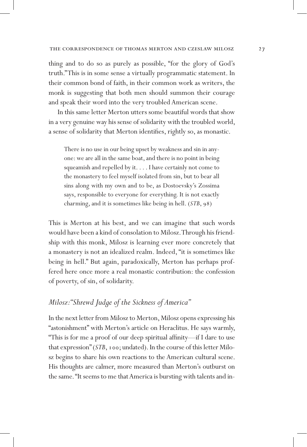thing and to do so as purely as possible, "for the glory of God's truth." This is in some sense a virtually programmatic statement. In their common bond of faith, in their common work as writers, the monk is suggesting that both men should summon their courage and speak their word into the very troubled American scene.

In this same letter Merton utters some beautiful words that show in a very genuine way his sense of solidarity with the troubled world, a sense of solidarity that Merton identifies, rightly so, as monastic.

There is no use in our being upset by weakness and sin in anyone: we are all in the same boat, and there is no point in being squeamish and repelled by it. . . . I have certainly not come to the monastery to feel myself isolated from sin, but to bear all sins along with my own and to be, as Dostoevsky's Zossima says, responsible to everyone for everything. It is not exactly charming, and it is sometimes like being in hell. (*STB*, 98)

This is Merton at his best, and we can imagine that such words would have been a kind of consolation to Milosz. Through his friendship with this monk, Milosz is learning ever more concretely that a monastery is not an idealized realm. Indeed, "it is sometimes like being in hell." But again, paradoxically, Merton has perhaps proffered here once more a real monastic contribution: the confession of poverty, of sin, of solidarity.

# *Milosz: "Shrewd Judge of the Sickness of America"*

In the next letter from Milosz to Merton, Milosz opens expressing his "astonishment" with Merton's article on Heraclitus. He says warmly, "This is for me a proof of our deep spiritual affinity—if I dare to use that expression" (*STB*, 100; undated). In the course of this letter Milosz begins to share his own reactions to the American cultural scene. His thoughts are calmer, more measured than Merton's outburst on the same. "It seems to me that America is bursting with talents and in-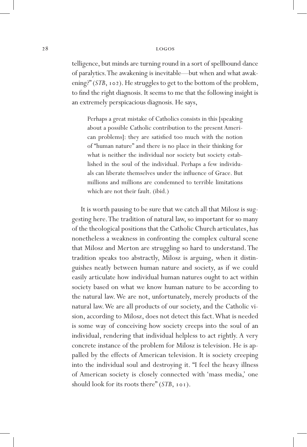telligence, but minds are turning round in a sort of spellbound dance of paralytics. The awakening is inevitable—but when and what awakening?" (*STB*, 102). He struggles to get to the bottom of the problem, to find the right diagnosis. It seems to me that the following insight is an extremely perspicacious diagnosis. He says,

Perhaps a great mistake of Catholics consists in this [speaking about a possible Catholic contribution to the present American problems]: they are satisfied too much with the notion of "human nature" and there is no place in their thinking for what is neither the individual nor society but society established in the soul of the individual. Perhaps a few individuals can liberate themselves under the influence of Grace. But millions and millions are condemned to terrible limitations which are not their fault. (ibid.)

It is worth pausing to be sure that we catch all that Milosz is suggesting here. The tradition of natural law, so important for so many of the theological positions that the Catholic Church articulates, has nonetheless a weakness in confronting the complex cultural scene that Milosz and Merton are struggling so hard to understand. The tradition speaks too abstractly, Milosz is arguing, when it distinguishes neatly between human nature and society, as if we could easily articulate how individual human natures ought to act within society based on what we know human nature to be according to the natural law. We are not, unfortunately, merely products of the natural law. We are all products of our society, and the Catholic vision, according to Milosz, does not detect this fact. What is needed is some way of conceiving how society creeps into the soul of an individual, rendering that individual helpless to act rightly. A very concrete instance of the problem for Milosz is television. He is appalled by the effects of American television. It is society creeping into the individual soul and destroying it. "I feel the heavy illness of American society is closely connected with 'mass media,' one should look for its roots there" (*STB*, 101).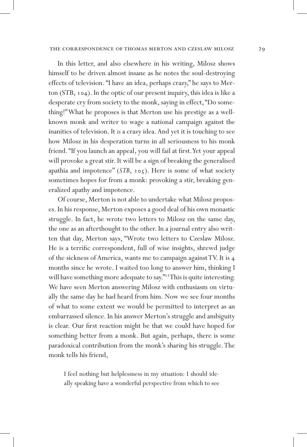In this letter, and also elsewhere in his writing, Milosz shows himself to be driven almost insane as he notes the soul-destroying effects of television. "I have an idea, perhaps crazy," he says to Merton (STB, 104). In the optic of our present inquiry, this idea is like a desperate cry from society to the monk, saying in effect, "Do something!" What he proposes is that Merton use his prestige as a wellknown monk and writer to wage a national campaign against the inanities of television. It *is* a crazy idea. And yet it is touching to see how Milosz in his desperation turns in all seriousness to his monk friend. "If you launch an appeal, you will fail at first. Yet your appeal will provoke a great stir. It will be a sign of breaking the generalised apathia and impotence" (*STB*, 105). Here is some of what society sometimes hopes for from a monk: provoking a stir, breaking generalized apathy and impotence.

Of course, Merton is not able to undertake what Milosz proposes. In his response, Merton exposes a good deal of his own monastic struggle. In fact, he wrote two letters to Milosz on the same day, the one as an afterthought to the other. In a journal entry also written that day, Merton says, "Wrote two letters to Czeslaw Milosz. He is a terrific correspondent, full of wise insights, shrewd judge of the sickness of America, wants me to campaign against TV. It is 4 months since he wrote. I waited too long to answer him, thinking I will have something more adequate to say."<sup>13</sup>This is quite interesting. We have seen Merton answering Milosz with enthusiasm on virtually the same day he had heard from him. Now we see four months of what to some extent we would be permitted to interpret as an embarrassed silence. In his answer Merton's struggle and ambiguity is clear. Our first reaction might be that we could have hoped for something better from a monk. But again, perhaps, there is some paradoxical contribution from the monk's sharing his struggle. The monk tells his friend,

I feel nothing but helplessness in my situation: I should ideally speaking have a wonderful perspective from which to see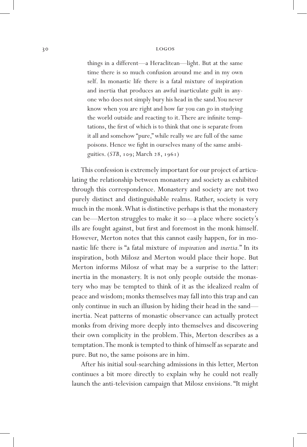things in a different—a Heraclitean—light. But at the same time there is so much confusion around me and in my own self. In monastic life there is a fatal mixture of inspiration and inertia that produces an awful inarticulate guilt in anyone who does not simply bury his head in the sand. You never know when you are right and how far you can go in studying the world outside and reacting to it. There are infinite temptations, the first of which is to think that one is separate from it all and somehow "pure," while really we are full of the same poisons. Hence we fight in ourselves many of the same ambiguities. (*STB*, 109; March 28, 1961)

This confession is extremely important for our project of articulating the relationship between monastery and society as exhibited through this correspondence. Monastery and society are not two purely distinct and distinguishable realms. Rather, society is very much in the monk. What is distinctive perhaps is that the monastery can be—Merton struggles to make it so—a place where society's ills are fought against, but first and foremost in the monk himself. However, Merton notes that this cannot easily happen, for in monastic life there is "a fatal mixture of *inspiration* and *inertia.*" In its inspiration, both Milosz and Merton would place their hope. But Merton informs Milosz of what may be a surprise to the latter: inertia in the monastery. It is not only people outside the monastery who may be tempted to think of it as the idealized realm of peace and wisdom; monks themselves may fall into this trap and can only continue in such an illusion by hiding their head in the sand inertia. Neat patterns of monastic observance can actually protect monks from driving more deeply into themselves and discovering their own complicity in the problem. This, Merton describes as a temptation. The monk is tempted to think of himself as separate and pure. But no, the same poisons are in him.

After his initial soul-searching admissions in this letter, Merton continues a bit more directly to explain why he could not really launch the anti-television campaign that Milosz envisions. "It might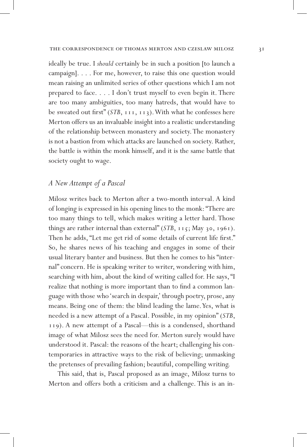ideally be true. I *should* certainly be in such a position [to launch a campaign]. . . . For me, however, to raise this one question would mean raising an unlimited series of other questions which I am not prepared to face. . . . I don't trust myself to even begin it. There are too many ambiguities, too many hatreds, that would have to be sweated out first" (*STB*, 111, 113). With what he confesses here Merton offers us an invaluable insight into a realistic understanding of the relationship between monastery and society. The monastery is not a bastion from which attacks are launched on society. Rather, the battle is within the monk himself, and it is the same battle that society ought to wage.

#### *A New Attempt of a Pascal*

Milosz writes back to Merton after a two-month interval. A kind of longing is expressed in his opening lines to the monk: "There are too many things to tell, which makes writing a letter hard. Those things are rather internal than external" (*STB*, 115; May 30, 1961). Then he adds, "Let me get rid of some details of current life first." So, he shares news of his teaching and engages in some of their usual literary banter and business. But then he comes to his "internal" concern. He is speaking writer to writer, wondering with him, searching with him, about the kind of writing called for. He says, "I realize that nothing is more important than to find a common language with those who 'search in despair,' through poetry, prose, any means. Being one of them: the blind leading the lame. Yes, what is needed is a new attempt of a Pascal. Possible, in my opinion" (*STB*, 119). A new attempt of a Pascal—this is a condensed, shorthand image of what Milosz sees the need for. Merton surely would have understood it. Pascal: the reasons of the heart; challenging his contemporaries in attractive ways to the risk of believing; unmasking the pretenses of prevailing fashion; beautiful, compelling writing.

This said, that is, Pascal proposed as an image, Milosz turns to Merton and offers both a criticism and a challenge. This is an in-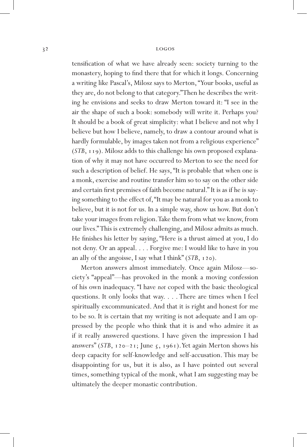tensification of what we have already seen: society turning to the monastery, hoping to find there that for which it longs. Concerning a writing like Pascal's, Milosz says to Merton, "Your books, useful as they are, do not belong to that category." Then he describes the writing he envisions and seeks to draw Merton toward it: "I see in the air the shape of such a book: somebody will write it. Perhaps you? It should be a book of great simplicity: what I believe and not why I believe but how I believe, namely, to draw a contour around what is hardly formulable, by images taken not from a religious experience" (*STB*, 119). Milosz adds to this challenge his own proposed explanation of why it may not have occurred to Merton to see the need for such a description of belief. He says, "It is probable that when one is a monk, exercise and routine transfer him so to say on the other side and certain first premises of faith become natural." It is as if he is saying something to the effect of, "It may be natural for you as a monk to believe, but it is not for us. In a simple way, show us how. But don't take your images from religion. Take them from what we know, from our lives." This is extremely challenging, and Milosz admits as much. He finishes his letter by saying, "Here is a thrust aimed at you, I do not deny. Or an appeal. . . . Forgive me: I would like to have in you an ally of the angoisse, I say what I think" (*STB*, 120).

Merton answers almost immediately. Once again Milosz—society's "appeal"—has provoked in the monk a moving confession of his own inadequacy. "I have *not* coped with the basic theological questions. It only looks that way. . . . There are times when I feel spiritually excommunicated. And that it is right and honest for me to be so. It is certain that my writing is not adequate and I am oppressed by the people who think that it is and who admire it as if it really answered questions. I have given the impression I had answers" (*STB*, 120–21; June 5, 1961). Yet again Merton shows his deep capacity for self-knowledge and self-accusation. This may be disappointing for us, but it is also, as I have pointed out several times, something typical of the monk, what I am suggesting may be ultimately the deeper monastic contribution.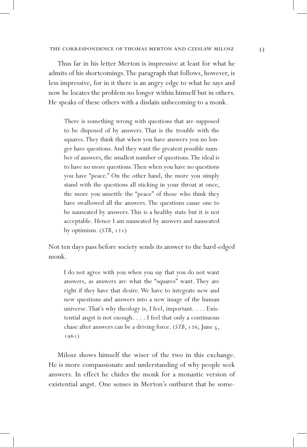Thus far in his letter Merton is impressive at least for what he admits of his shortcomings. The paragraph that follows, however, is less impressive, for in it there is an angry edge to what he says and now he locates the problem no longer within himself but in others. He speaks of these others with a disdain unbecoming to a monk.

There is something wrong with questions that are supposed to be disposed of by answers. That is the trouble with the squares. They think that when you have answers you no longer have questions. And they want the greatest possible number of answers, the smallest number of questions. The ideal is to have no more questions. Then when you have no questions you have "peace." On the other hand, the more you simply stand with the questions all sticking in your throat at once, the more you unsettle the "peace" of those who think they have swallowed all the answers. The questions cause one to be nauseated by answers. This is a healthy state but it is not acceptable. Hence I am nauseated by answers and nauseated by optimism. (*STB*, 121)

Not ten days pass before society sends its answer to the hard-edged monk.

I do not agree with you when you say that you do not want answers, as answers are what the "squares" want. They are right if they have that desire. We have to integrate new and new questions and answers into a new image of the human universe. That's why theology is, I feel, important. . . . Existential angst is not enough. . . . I feel that only a continuous chase after answers can be a driving force. (*STB*, 126; June 5, 1961)

Milosz shows himself the wiser of the two in this exchange. He is more compassionate and understanding of why people seek answers. In effect he chides the monk for a monastic version of existential angst. One senses in Merton's outburst that he some-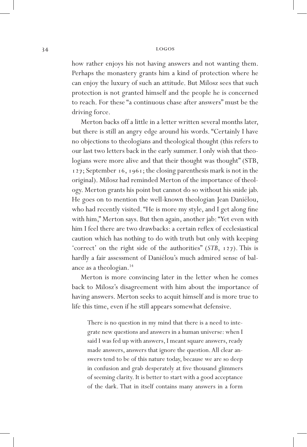how rather enjoys his not having answers and not wanting them. Perhaps the monastery grants him a kind of protection where he can enjoy the luxury of such an attitude. But Milosz sees that such protection is not granted himself and the people he is concerned to reach. For these "a continuous chase after answers" must be the driving force.

Merton backs off a little in a letter written several months later, but there is still an angry edge around his words. "Certainly I have no objections to theologians and theological thought (this refers to our last two letters back in the early summer. I only wish that theologians were more alive and that their thought was thought" (STB, 127; September 16, 1961; the closing parenthesis mark is not in the original). Milosz had reminded Merton of the importance of theology. Merton grants his point but cannot do so without his snide jab. He goes on to mention the well-known theologian Jean Daniélou, who had recently visited. "He is more my style, and I get along fine with him," Merton says. But then again, another jab: "Yet even with him I feel there are two drawbacks: a certain reflex of ecclesiastical caution which has nothing to do with truth but only with keeping 'correct' on the right side of the authorities" (*STB*, 127). This is hardly a fair assessment of Daniélou's much admired sense of balance as a theologian.<sup>14</sup>

Merton is more convincing later in the letter when he comes back to Milosz's disagreement with him about the importance of having answers. Merton seeks to acquit himself and is more true to life this time, even if he still appears somewhat defensive.

There is no question in my mind that there is a need to integrate new questions and answers in a human universe: when I said I was fed up with answers, I meant square answers, ready made answers, answers that ignore the question. All clear answers tend to be of this nature today, because we are so deep in confusion and grab desperately at five thousand glimmers of seeming clarity. It is better to start with a good acceptance of the dark. That in itself contains many answers in a form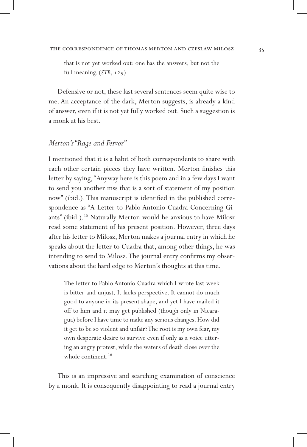that is not yet worked out: one has the answers, but not the full meaning. (*STB*, 129)

Defensive or not, these last several sentences seem quite wise to me. An acceptance of the dark, Merton suggests, is already a kind of answer, even if it is not yet fully worked out. Such a suggestion is a monk at his best.

#### *Merton's "Rage and Fervor"*

I mentioned that it is a habit of both correspondents to share with each other certain pieces they have written. Merton finishes this letter by saying, "Anyway here is this poem and in a few days I want to send you another mss that is a sort of statement of my position now" (ibid.). This manuscript is identified in the published correspondence as "A Letter to Pablo Antonio Cuadra Concerning Giants" (ibid.).15 Naturally Merton would be anxious to have Milosz read some statement of his present position. However, three days after his letter to Milosz, Merton makes a journal entry in which he speaks about the letter to Cuadra that, among other things, he was intending to send to Milosz. The journal entry confirms my observations about the hard edge to Merton's thoughts at this time.

The letter to Pablo Antonio Cuadra which I wrote last week is bitter and unjust. It lacks perspective. It cannot do much good to anyone in its present shape, and yet I have mailed it off to him and it may get published (though only in Nicaragua) before I have time to make any serious changes. How did it get to be so violent and unfair? The root is my own fear, my own desperate desire to survive even if only as a voice uttering an angry protest, while the waters of death close over the whole continent.<sup>16</sup>

This is an impressive and searching examination of conscience by a monk. It is consequently disappointing to read a journal entry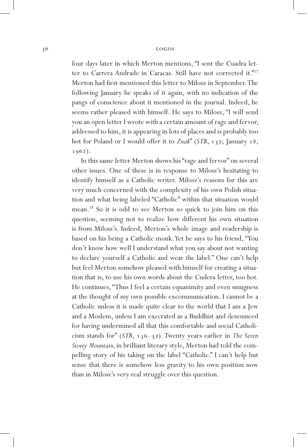four days later in which Merton mentions, "I sent the Cuadra letter to Carrera Andrade in Caracas. Still have not corrected it."<sup>17</sup> Merton had first mentioned this letter to Milosz in September. The following January he speaks of it again, with no indication of the pangs of conscience about it mentioned in the journal. Indeed, he seems rather pleased with himself. He says to Milosz, "I will send you an open letter I wrote with a certain amount of rage and fervor, addressed to him, it is appearing in lots of places and is probably too hot for Poland or I would offer it to *Znak*" (*STB*, 137; January 18, 1962).

In this same letter Merton shows his "rage and fervor" on several other issues. One of these is in response to Milosz's hesitating to identify himself as a Catholic writer. Milosz's reasons for this are very much concerned with the complexity of his own Polish situation and what being labeled "Catholic" within that situation would mean.18 So it is odd to see Merton so quick to join him on this question, seeming not to realize how different his own situation is from Milosz's. Indeed, Merton's whole image and readership is based on his being a Catholic monk. Yet he says to his friend, "You don't know how well I understand what you say about not wanting to declare yourself a Catholic and wear the label." One can't help but feel Merton somehow pleased with himself for creating a situation that is, to use his own words about the Cudera letter, too hot. He continues, "Thus I feel a certain equanimity and even smugness at the thought of my own possible excommunication. I cannot be a Catholic unless it is made quite clear to the world that I am a Jew and a Moslem, unless I am execrated as a Buddhist and denounced for having undermined all that this comfortable and social Catholicism stands for" (*STB*, 136–37). Twenty years earlier in *The Seven Storey Mountain,* in brilliant literary style, Merton had told the compelling story of his taking on the label "Catholic." I can't help but sense that there is somehow less gravity to his own position now than in Milosz's very real struggle over this question.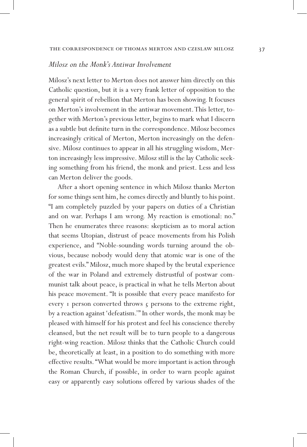#### *Milosz on the Monk's Antiwar Involvement*

Milosz's next letter to Merton does not answer him directly on this Catholic question, but it is a very frank letter of opposition to the general spirit of rebellion that Merton has been showing. It focuses on Merton's involvement in the antiwar movement. This letter, together with Merton's previous letter, begins to mark what I discern as a subtle but definite turn in the correspondence. Milosz becomes increasingly critical of Merton, Merton increasingly on the defensive. Milosz continues to appear in all his struggling wisdom, Merton increasingly less impressive. Milosz still is the lay Catholic seeking something from his friend, the monk and priest. Less and less can Merton deliver the goods.

After a short opening sentence in which Milosz thanks Merton for some things sent him, he comes directly and bluntly to his point. "I am completely puzzled by your papers on duties of a Christian and on war. Perhaps I am wrong. My reaction is emotional: no." Then he enumerates three reasons: skepticism as to moral action that seems Utopian, distrust of peace movements from his Polish experience, and "Noble-sounding words turning around the obvious, because nobody would deny that atomic war is one of the greatest evils." Milosz, much more shaped by the brutal experience of the war in Poland and extremely distrustful of postwar communist talk about peace, is practical in what he tells Merton about his peace movement. "It is possible that every peace manifesto for every 1 person converted throws 5 persons to the extreme right, by a reaction against 'defeatism.'" In other words, the monk may be pleased with himself for his protest and feel his conscience thereby cleansed, but the net result will be to turn people to a dangerous right-wing reaction. Milosz thinks that the Catholic Church could be, theoretically at least, in a position to do something with more effective results. "What would be more important is action through the Roman Church, if possible, in order to warn people against easy or apparently easy solutions offered by various shades of the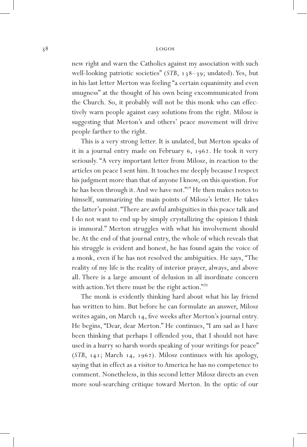new right and warn the Catholics against my association with such well-looking patriotic societies" (*STB*, 138–39; undated). Yes, but in his last letter Merton was feeling "a certain equanimity and even smugness" at the thought of his own being excommunicated from the Church. So, it probably will not be this monk who can effectively warn people against easy solutions from the right. Milosz is suggesting that Merton's and others' peace movement will drive people farther to the right.

This is a very strong letter. It is undated, but Merton speaks of it in a journal entry made on February 6, 1962. He took it very seriously. "A very important letter from Milosz, in reaction to the articles on peace I sent him. It touches me deeply because I respect his judgment more than that of anyone I know, on this question. For he has been through it. And we have not."19 He then makes notes to himself, summarizing the main points of Milosz's letter. He takes the latter's point. "There are awful ambiguities in this peace talk and I do not want to end up by simply crystallizing the opinion I think is immoral." Merton struggles with what his involvement should be. At the end of that journal entry, the whole of which reveals that his struggle is evident and honest, he has found again the voice of a monk, even if he has not resolved the ambiguities. He says, "The reality of my life is the reality of interior prayer, always, and above all. There is a large amount of delusion in all inordinate concern with action. Yet there must be the right action."20

The monk is evidently thinking hard about what his lay friend has written to him. But before he can formulate an answer, Milosz writes again, on March 14, five weeks after Merton's journal entry. He begins, "Dear, dear Merton." He continues, "I am sad as I have been thinking that perhaps I offended you, that I should not have used in a hurry so harsh words speaking of your writings for peace" (*STB*, 141; March 14, 1962). Milosz continues with his apology, saying that in effect as a visitor to America he has no competence to comment. Nonetheless, in this second letter Milosz directs an even more soul-searching critique toward Merton. In the optic of our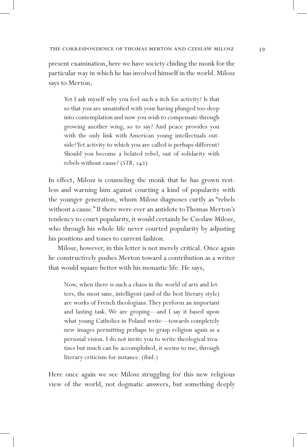present examination, here we have society chiding the monk for the particular way in which he has involved himself in the world. Milosz says to Merton,

Yet I ask myself why you feel such a itch for activity? Is that so that you are unsatisfied with your having plunged too deep into contemplation and now you wish to compensate through growing another wing, so to say? And peace provides you with the only link with American young intellectuals outside? Yet activity to which you are called is perhaps different? Should you become a belated rebel, out of solidarity with rebels without cause? (*STB*, 142)

In effect, Milosz is counseling the monk that he has grown restless and warning him against courting a kind of popularity with the younger generation, whom Milosz diagnoses curtly as "rebels without a cause." If there were ever an antidote to Thomas Merton's tendency to court popularity, it would certainly be Czeslaw Milosz, who through his whole life never courted popularity by adjusting his positions and tones to current fashion.

Milosz, however, in this letter is not merely critical. Once again he constructively pushes Merton toward a contribution as a writer that would square better with his monastic life. He says,

Now, when there is such a chaos in the world of arts and letters, the most sane, intelligent (and of the best literary style) are works of French theologians. They perform an important and lasting task. We are groping—and I say it based upon what young Catholics in Poland write—towards completely new images permitting perhaps to grasp religion again as a personal vision. I do not invite you to write theological treatises but much can be accomplished, it seems to me, through literary criticism for instance. (ibid.)

Here once again we see Milosz struggling for this new religious view of the world, not dogmatic answers, but something deeply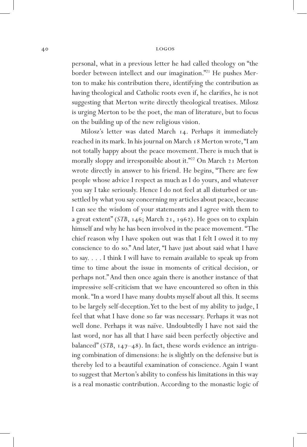personal, what in a previous letter he had called theology on "the border between intellect and our imagination."21 He pushes Merton to make his contribution there, identifying the contribution as having theological and Catholic roots even if, he clarifies, he is not suggesting that Merton write directly theological treatises. Milosz is urging Merton to be the poet, the man of literature, but to focus on the building up of the new religious vision.

Milosz's letter was dated March 14. Perhaps it immediately reached in its mark. In his journal on March 18 Merton wrote, "I am not totally happy about the peace movement. There is much that is morally sloppy and irresponsible about it."<sup>22</sup> On March 21 Merton wrote directly in answer to his friend. He begins, "There are few people whose advice I respect as much as I do yours, and whatever you say I take seriously. Hence I do not feel at all disturbed or unsettled by what you say concerning my articles about peace, because I can see the wisdom of your statements and I agree with them to a great extent" (*STB*, 146; March 21, 1962). He goes on to explain himself and why he has been involved in the peace movement. "The chief reason why I have spoken out was that I felt I owed it to my conscience to do so." And later, "I have just about said what I have to say. . . . I think I will have to remain available to speak up from time to time about the issue in moments of critical decision, or perhaps not." And then once again there is another instance of that impressive self-criticism that we have encountered so often in this monk. "In a word I have many doubts myself about all this. It seems to be largely self-deception. Yet to the best of my ability to judge, I feel that what I have done so far was necessary. Perhaps it was not well done. Perhaps it was naïve. Undoubtedly I have not said the last word, nor has all that I have said been perfectly objective and balanced" (*STB*, 147–48). In fact, these words evidence an intriguing combination of dimensions: he is slightly on the defensive but is thereby led to a beautiful examination of conscience. Again I want to suggest that Merton's ability to confess his limitations in this way is a real monastic contribution. According to the monastic logic of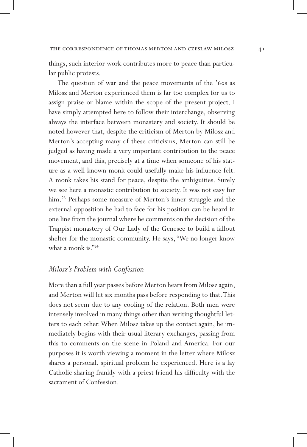things, such interior work contributes more to peace than particular public protests.

The question of war and the peace movements of the '60s as Milosz and Merton experienced them is far too complex for us to assign praise or blame within the scope of the present project. I have simply attempted here to follow their interchange, observing always the interface between monastery and society. It should be noted however that, despite the criticism of Merton by Milosz and Merton's accepting many of these criticisms, Merton can still be judged as having made a very important contribution to the peace movement, and this, precisely at a time when someone of his stature as a well-known monk could usefully make his influence felt. A monk takes his stand for peace, despite the ambiguities. Surely we see here a monastic contribution to society. It was not easy for him.<sup>23</sup> Perhaps some measure of Merton's inner struggle and the external opposition he had to face for his position can be heard in one line from the journal where he comments on the decision of the Trappist monastery of Our Lady of the Genesee to build a fallout shelter for the monastic community. He says, "We no longer know what a monk is."<sup>24</sup>

#### *Milosz's Problem with Confession*

More than a full year passes before Merton hears from Milosz again, and Merton will let six months pass before responding to that. This does not seem due to any cooling of the relation. Both men were intensely involved in many things other than writing thoughtful letters to each other. When Milosz takes up the contact again, he immediately begins with their usual literary exchanges, passing from this to comments on the scene in Poland and America. For our purposes it is worth viewing a moment in the letter where Milosz shares a personal, spiritual problem he experienced. Here is a lay Catholic sharing frankly with a priest friend his difficulty with the sacrament of Confession.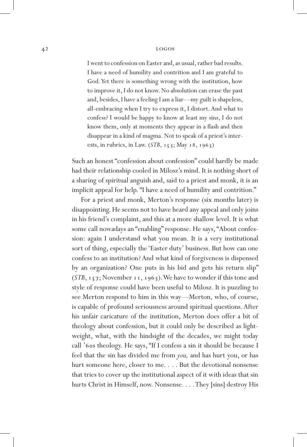I went to confession on Easter and, as usual, rather bad results. I have a need of humility and contrition and I am grateful to God. Yet there is something wrong with the institution, how to improve it, I do not know. No absolution can erase the past and, besides, I have a feeling I am a liar—my guilt is shapeless, all-embracing when I try to express it, I distort. And what to confess? I would be happy to know at least my sins, I do not know them, only at moments they appear in a flash and then disappear in a kind of magma. Not to speak of a priest's interests, in rubrics, in Law. (*STB*, 153; May 18, 1963)

Such an honest "confession about confession" could hardly be made had their relationship cooled in Milosz's mind. It is nothing short of a sharing of spiritual anguish and, said to a priest and monk, it is an implicit appeal for help. "I have a need of humility and contrition."

For a priest and monk, Merton's response (six months later) is disappointing. He seems not to have heard any appeal and only joins in his friend's complaint, and this at a more shallow level. It is what some call nowadays an "enabling" response. He says, "About confession: again I understand what you mean. It is a very institutional sort of thing, especially the 'Easter duty' business. But how can one confess to an institution? And what kind of forgiveness is dispensed by an organization? One puts in his bid and gets his return slip" (*STB*, 157; November 11, 1963). We have to wonder if this tone and style of response could have been useful to Milosz. It is puzzling to see Merton respond to him in this way—Merton, who, of course, is capable of profound seriousness around spiritual questions. After his unfair caricature of the institution, Merton does offer a bit of theology about confession, but it could only be described as lightweight, what, with the hindsight of the decades, we might today call '60s theology. He says, "If I confess a sin it should be because I feel that the sin has divided me from *you,* and has hurt you, or has hurt someone here, closer to me. . . . But the devotional nonsense that tries to cover up the institutional aspect of it with ideas that sin hurts Christ in Himself, now. Nonsense. . . . They [sins] destroy His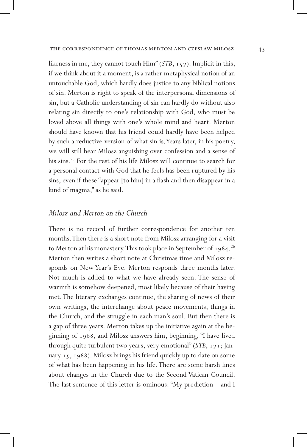likeness in me, they cannot touch Him" (*STB*, 157). Implicit in this, if we think about it a moment, is a rather metaphysical notion of an untouchable God, which hardly does justice to any biblical notions of sin. Merton is right to speak of the interpersonal dimensions of sin, but a Catholic understanding of sin can hardly do without also relating sin directly to one's relationship with God, who must be loved above all things with one's whole mind and heart. Merton should have known that his friend could hardly have been helped by such a reductive version of what sin is. Years later, in his poetry, we will still hear Milosz anguishing over confession and a sense of his sins.<sup>25</sup> For the rest of his life Milosz will continue to search for a personal contact with God that he feels has been ruptured by his sins, even if these "appear [to him] in a flash and then disappear in a kind of magma," as he said.

#### *Milosz and Merton on the Church*

There is no record of further correspondence for another ten months. Then there is a short note from Milosz arranging for a visit to Merton at his monastery. This took place in September of 1964.<sup>26</sup> Merton then writes a short note at Christmas time and Milosz responds on New Year's Eve. Merton responds three months later. Not much is added to what we have already seen. The sense of warmth is somehow deepened, most likely because of their having met. The literary exchanges continue, the sharing of news of their own writings, the interchange about peace movements, things in the Church, and the struggle in each man's soul. But then there is a gap of three years. Merton takes up the initiative again at the beginning of 1968, and Milosz answers him, beginning, "I have lived through quite turbulent two years, very emotional" (*STB*, 171; January 15, 1968). Milosz brings his friend quickly up to date on some of what has been happening in his life. There are some harsh lines about changes in the Church due to the Second Vatican Council. The last sentence of this letter is ominous: "My prediction—and I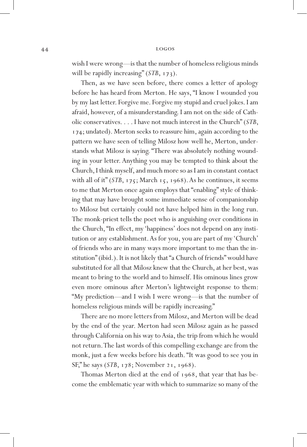wish I were wrong—is that the number of homeless religious minds will be rapidly increasing" (*STB*, 173).

Then, as we have seen before, there comes a letter of apology before he has heard from Merton. He says, "I know I wounded you by my last letter. Forgive me. Forgive my stupid and cruel jokes. I am afraid, however, of a misunderstanding. I am not on the side of Catholic conservatives. . . . I have not much interest in the Church" (*STB*, 174; undated). Merton seeks to reassure him, again according to the pattern we have seen of telling Milosz how well he, Merton, understands what Milosz is saying. "There was absolutely nothing wounding in your letter. Anything you may be tempted to think about the Church, I think myself, and much more so as I am in constant contact with all of it" (*STB*, 175; March 15, 1968). As he continues, it seems to me that Merton once again employs that "enabling" style of thinking that may have brought some immediate sense of companionship to Milosz but certainly could not have helped him in the long run. The monk-priest tells the poet who is anguishing over conditions in the Church, "In effect, my 'happiness' does not depend on any institution or any establishment. As for you, you are part of my 'Church' of friends who are in many ways more important to me than the institution" (ibid.). It is not likely that "a Church of friends" would have substituted for all that Milosz knew that the Church, at her best, was meant to bring to the world and to himself. His ominous lines grow even more ominous after Merton's lightweight response to them: "My prediction—and I wish I were wrong—is that the number of homeless religious minds will be rapidly increasing."

There are no more letters from Milosz, and Merton will be dead by the end of the year. Merton had seen Milosz again as he passed through California on his way to Asia, the trip from which he would not return. The last words of this compelling exchange are from the monk, just a few weeks before his death. "It was good to see you in SF," he says (*STB*, 178; November 21, 1968).

Thomas Merton died at the end of 1968, that year that has become the emblematic year with which to summarize so many of the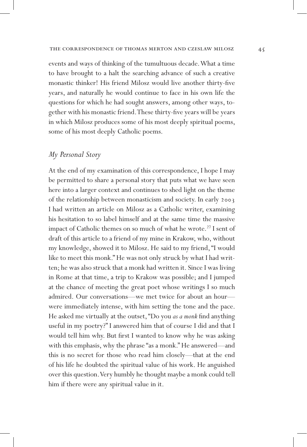events and ways of thinking of the tumultuous decade. What a time to have brought to a halt the searching advance of such a creative monastic thinker! His friend Milosz would live another thirty-five years, and naturally he would continue to face in his own life the questions for which he had sought answers, among other ways, together with his monastic friend. These thirty-five years will be years in which Milosz produces some of his most deeply spiritual poems, some of his most deeply Catholic poems.

## *My Personal Story*

At the end of my examination of this correspondence, I hope I may be permitted to share a personal story that puts what we have seen here into a larger context and continues to shed light on the theme of the relationship between monasticism and society. In early 2003 I had written an article on Milosz as a Catholic writer, examining his hesitation to so label himself and at the same time the massive impact of Catholic themes on so much of what he wrote.<sup>27</sup> I sent of draft of this article to a friend of my mine in Krakow, who, without my knowledge, showed it to Milosz. He said to my friend, "I would like to meet this monk." He was not only struck by what I had written; he was also struck that a monk had written it. Since I was living in Rome at that time, a trip to Krakow was possible; and I jumped at the chance of meeting the great poet whose writings I so much admired. Our conversations—we met twice for about an hour were immediately intense, with him setting the tone and the pace. He asked me virtually at the outset, "Do you *as a monk* find anything useful in my poetry?" I answered him that of course I did and that I would tell him why. But first I wanted to know why he was asking with this emphasis, why the phrase "as a monk." He answered—and this is no secret for those who read him closely—that at the end of his life he doubted the spiritual value of his work. He anguished over this question. Very humbly he thought maybe a monk could tell him if there were any spiritual value in it.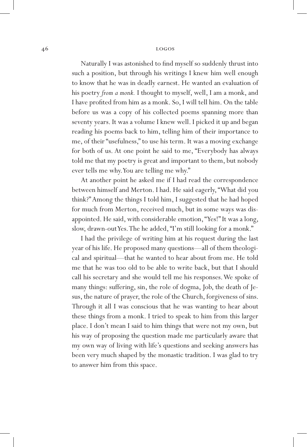Naturally I was astonished to find myself so suddenly thrust into such a position, but through his writings I knew him well enough to know that he was in deadly earnest. He wanted an evaluation of his poetry *from a monk.* I thought to myself, well, I am a monk, and I have profited from him as a monk. So, I will tell him. On the table before us was a copy of his collected poems spanning more than seventy years. It was a volume I knew well. I picked it up and began reading his poems back to him, telling him of their importance to me, of their "usefulness," to use his term. It was a moving exchange for both of us. At one point he said to me, "Everybody has always told me that my poetry is great and important to them, but nobody ever tells me why. You are telling me why."

At another point he asked me if I had read the correspondence between himself and Merton. I had. He said eagerly, "What did you think?" Among the things I told him, I suggested that he had hoped for much from Merton, received much, but in some ways was disappointed. He said, with considerable emotion, "Yes!" It was a long, slow, drawn-out Yes. The he added, "I'm still looking for a monk."

I had the privilege of writing him at his request during the last year of his life. He proposed many questions—all of them theological and spiritual—that he wanted to hear about from me. He told me that he was too old to be able to write back, but that I should call his secretary and she would tell me his responses. We spoke of many things: suffering, sin, the role of dogma, Job, the death of Jesus, the nature of prayer, the role of the Church, forgiveness of sins. Through it all I was conscious that he was wanting to hear about these things from a monk. I tried to speak to him from this larger place. I don't mean I said to him things that were not my own, but his way of proposing the question made me particularly aware that my own way of living with life's questions and seeking answers has been very much shaped by the monastic tradition. I was glad to try to answer him from this space.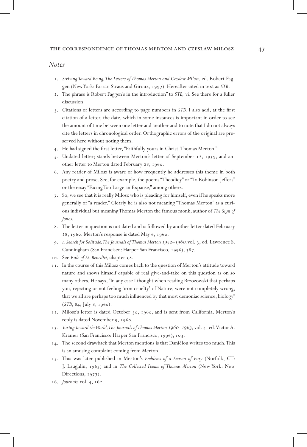#### *Notes*

- 1. *Striving Toward Being, The Letters of Thomas Merton and Czeslaw Milosz, ed. Robert Fag*gen (New York: Farrar, Straus and Giroux, 1997). Hereafter cited in text as *STB*.
- 2. The phrase is Robert Faggen's in the introduction" to *STB,* vi. See there for a fuller discussion.
- 3. Citations of letters are according to page numbers in *STB.* I also add, at the first citation of a letter, the date, which in some instances is important in order to see the amount of time between one letter and another and to note that I do not always cite the letters in chronological order. Orthographic errors of the original are preserved here without noting them.
- 4. He had signed the first letter, "Faithfully yours in Christ, Thomas Merton."
- 5. Undated letter; stands between Merton's letter of September 12, 1959, and another letter to Merton dated February 28, 1960.
- 6. Any reader of Milosz is aware of how frequently he addresses this theme in both poetry and prose. See, for example, the poems "Theodicy" or "To Robinson Jeffers" or the essay "Facing Too Large an Expanse," among others.
- 7. So, we see that it is really Milosz who is pleading for himself, even if he speaks more generally of "a reader." Clearly he is also not meaning "Thomas Merton" as a curious individual but meaning Thomas Merton the famous monk, author of *The Sign of Jonas.*
- 8. The letter in question is not dated and is followed by another letter dated February 28, 1960. Merton's response is dated May 6, 1960.
- 9. *A Search for Solitude, The Journals of Thomas Merton 1952–1960,* vol. 3, ed. Lawrence S. Cunningham (San Francisco: Harper San Francisco, 1996), 387.
- 10. See *Rule of St. Benedict,* chapter 58.
- 11. In the course of this Milosz comes back to the question of Merton's attitude toward nature and shows himself capable of real give-and-take on this question as on so many others. He says, "In any case I thought when reading Brzozowski that perhaps you, rejecting or not feeling 'iron cruelty' of Nature, were not completely wrong, that we all are perhaps too much influenced by that most demoniac science, biology" (*STB*, 84; July 8, 1960).
- 12. Milosz's letter is dated October 30, 1960, and is sent from California. Merton's reply is dated November 9, 1960.
- 13. *Turing Toward the World, The Journals of Thomas Merton 1960–1963,* vol. 4, ed. Victor A. Kramer (San Francisco: Harper San Francisco, 1996), 103.
- 14. The second drawback that Merton mentions is that Daniélou writes too much. This is an amusing complaint coming from Merton.
- 15. This was later published in Merton's *Emblems of a Season of Fury* (Norfolk, CT: J. Laughlin, 1963) and in *The Collected Poems of Thomas Merton* (New York: New Directions, 1977).
- 16. *Journals,* vol. 4, 162.